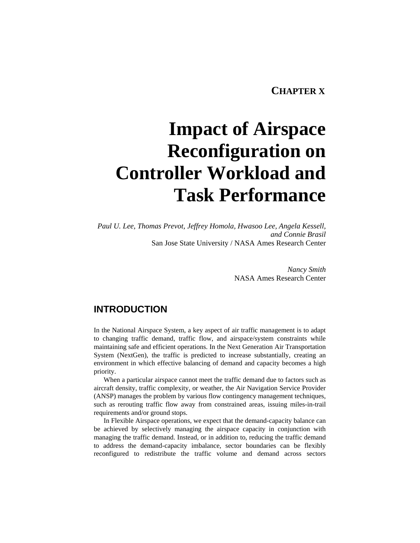# **CHAPTER X**

# **Impact of Airspace Reconfiguration on Controller Workload and Task Performance**

*Paul U. Lee, Thomas Prevot, Jeffrey Homola, Hwasoo Lee, Angela Kessell, and Connie Brasil* San Jose State University / NASA Ames Research Center

> *Nancy Smith* NASA Ames Research Center

# **INTRODUCTION**

In the National Airspace System, a key aspect of air traffic management is to adapt to changing traffic demand, traffic flow, and airspace/system constraints while maintaining safe and efficient operations. In the Next Generation Air Transportation System (NextGen), the traffic is predicted to increase substantially, creating an environment in which effective balancing of demand and capacity becomes a high priority.

When a particular airspace cannot meet the traffic demand due to factors such as aircraft density, traffic complexity, or weather, the Air Navigation Service Provider (ANSP) manages the problem by various flow contingency management techniques, such as rerouting traffic flow away from constrained areas, issuing miles-in-trail requirements and/or ground stops.

In Flexible Airspace operations, we expect that the demand-capacity balance can be achieved by selectively managing the airspace capacity in conjunction with managing the traffic demand. Instead, or in addition to, reducing the traffic demand to address the demand-capacity imbalance, sector boundaries can be flexibly reconfigured to redistribute the traffic volume and demand across sectors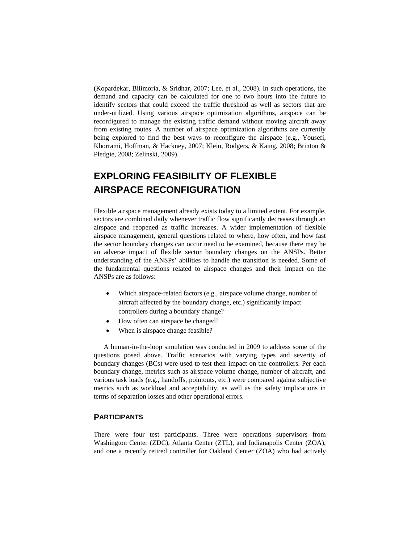(Kopardekar, Bilimoria, & Sridhar, 2007; Lee, et al., 2008). In such operations, the demand and capacity can be calculated for one to two hours into the future to identify sectors that could exceed the traffic threshold as well as sectors that are under-utilized. Using various airspace optimization algorithms, airspace can be reconfigured to manage the existing traffic demand without moving aircraft away from existing routes. A number of airspace optimization algorithms are currently being explored to find the best ways to reconfigure the airspace (e.g., Yousefi, Khorrami, Hoffman, & Hackney, 2007; Klein, Rodgers, & Kaing, 2008; Brinton & Pledgie, 2008; Zelinski, 2009).

# **EXPLORING FEASIBILITY OF FLEXIBLE AIRSPACE RECONFIGURATION**

Flexible airspace management already exists today to a limited extent. For example, sectors are combined daily whenever traffic flow significantly decreases through an airspace and reopened as traffic increases. A wider implementation of flexible airspace management, general questions related to where, how often, and how fast the sector boundary changes can occur need to be examined, because there may be an adverse impact of flexible sector boundary changes on the ANSPs. Better understanding of the ANSPs' abilities to handle the transition is needed. Some of the fundamental questions related to airspace changes and their impact on the ANSPs are as follows:

- Which airspace-related factors (e.g., airspace volume change, number of aircraft affected by the boundary change, etc.) significantly impact controllers during a boundary change?
- How often can airspace be changed?
- When is airspace change feasible?

A human-in-the-loop simulation was conducted in 2009 to address some of the questions posed above. Traffic scenarios with varying types and severity of boundary changes (BCs) were used to test their impact on the controllers. Per each boundary change, metrics such as airspace volume change, number of aircraft, and various task loads (e.g., handoffs, pointouts, etc.) were compared against subjective metrics such as workload and acceptability, as well as the safety implications in terms of separation losses and other operational errors.

#### **PARTICIPANTS**

There were four test participants. Three were operations supervisors from Washington Center (ZDC), Atlanta Center (ZTL), and Indianapolis Center (ZOA), and one a recently retired controller for Oakland Center (ZOA) who had actively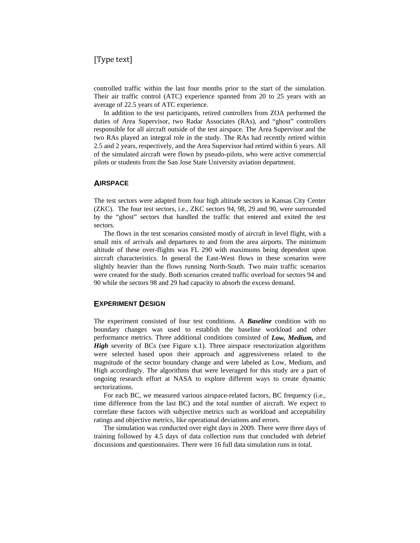controlled traffic within the last four months prior to the start of the simulation. Their air traffic control (ATC) experience spanned from 20 to 25 years with an average of 22.5 years of ATC experience.

In addition to the test participants, retired controllers from ZOA performed the duties of Area Supervisor, two Radar Associates (RAs), and "ghost" controllers responsible for all aircraft outside of the test airspace. The Area Supervisor and the two RAs played an integral role in the study. The RAs had recently retired within 2.5 and 2 years, respectively, and the Area Supervisor had retired within 6 years. All of the simulated aircraft were flown by pseudo-pilots, who were active commercial pilots or students from the San Jose State University aviation department.

#### **AIRSPACE**

The test sectors were adapted from four high altitude sectors in Kansas City Center (ZKC). The four test sectors, i.e., ZKC sectors 94, 98, 29 and 90, were surrounded by the "ghost" sectors that handled the traffic that entered and exited the test sectors.

The flows in the test scenarios consisted mostly of aircraft in level flight, with a small mix of arrivals and departures to and from the area airports. The minimum altitude of these over-flights was FL 290 with maximums being dependent upon aircraft characteristics. In general the East-West flows in these scenarios were slightly heavier than the flows running North-South. Two main traffic scenarios were created for the study. Both scenarios created traffic overload for sectors 94 and 90 while the sectors 98 and 29 had capacity to absorb the excess demand.

#### **EXPERIMENT DESIGN**

The experiment consisted of four test conditions. A *Baseline* condition with no boundary changes was used to establish the baseline workload and other performance metrics. Three additional conditions consisted of *Low, Medium,* and *High* severity of BCs (see Figure x.1). Three airspace resectorization algorithms were selected based upon their approach and aggressiveness related to the magnitude of the sector boundary change and were labeled as Low, Medium, and High accordingly. The algorithms that were leveraged for this study are a part of ongoing research effort at NASA to explore different ways to create dynamic sectorizations.

For each BC, we measured various airspace-related factors, BC frequency (i.e., time difference from the last BC) and the total number of aircraft. We expect to correlate these factors with subjective metrics such as workload and acceptability ratings and objective metrics, like operational deviations and errors.

The simulation was conducted over eight days in 2009. There were three days of training followed by 4.5 days of data collection runs that concluded with debrief discussions and questionnaires. There were 16 full data simulation runs in total.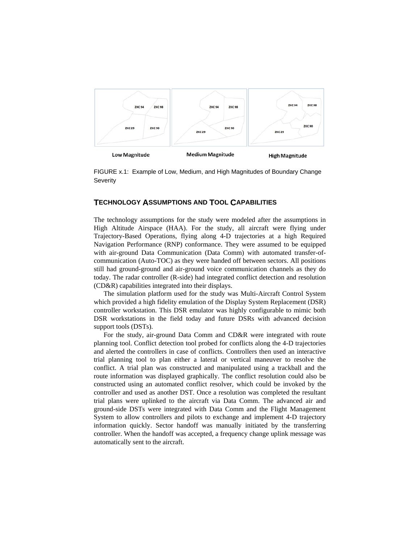

FIGURE x.1: Example of Low, Medium, and High Magnitudes of Boundary Change **Severity** 

#### **TECHNOLOGY ASSUMPTIONS AND TOOL CAPABILITIES**

The technology assumptions for the study were modeled after the assumptions in High Altitude Airspace (HAA). For the study, all aircraft were flying under Trajectory-Based Operations, flying along 4-D trajectories at a high Required Navigation Performance (RNP) conformance. They were assumed to be equipped with air-ground Data Communication (Data Comm) with automated transfer-ofcommunication (Auto-TOC) as they were handed off between sectors. All positions still had ground-ground and air-ground voice communication channels as they do today. The radar controller (R-side) had integrated conflict detection and resolution (CD&R) capabilities integrated into their displays.

The simulation platform used for the study was Multi-Aircraft Control System which provided a high fidelity emulation of the Display System Replacement (DSR) controller workstation. This DSR emulator was highly configurable to mimic both DSR workstations in the field today and future DSRs with advanced decision support tools (DSTs).

For the study, air-ground Data Comm and CD&R were integrated with route planning tool. Conflict detection tool probed for conflicts along the 4-D trajectories and alerted the controllers in case of conflicts. Controllers then used an interactive trial planning tool to plan either a lateral or vertical maneuver to resolve the conflict. A trial plan was constructed and manipulated using a trackball and the route information was displayed graphically. The conflict resolution could also be constructed using an automated conflict resolver, which could be invoked by the controller and used as another DST. Once a resolution was completed the resultant trial plans were uplinked to the aircraft via Data Comm. The advanced air and ground-side DSTs were integrated with Data Comm and the Flight Management System to allow controllers and pilots to exchange and implement 4-D trajectory information quickly. Sector handoff was manually initiated by the transferring controller. When the handoff was accepted, a frequency change uplink message was automatically sent to the aircraft.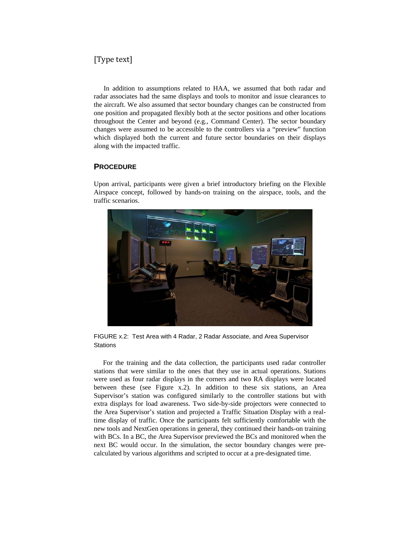In addition to assumptions related to HAA, we assumed that both radar and radar associates had the same displays and tools to monitor and issue clearances to the aircraft. We also assumed that sector boundary changes can be constructed from one position and propagated flexibly both at the sector positions and other locations throughout the Center and beyond (e.g., Command Center). The sector boundary changes were assumed to be accessible to the controllers via a "preview" function which displayed both the current and future sector boundaries on their displays along with the impacted traffic.

#### **PROCEDURE**

Upon arrival, participants were given a brief introductory briefing on the Flexible Airspace concept, followed by hands-on training on the airspace, tools, and the traffic scenarios.



FIGURE x.2: Test Area with 4 Radar, 2 Radar Associate, and Area Supervisor **Stations** 

For the training and the data collection, the participants used radar controller stations that were similar to the ones that they use in actual operations. Stations were used as four radar displays in the corners and two RA displays were located between these (see Figure x.2). In addition to these six stations, an Area Supervisor's station was configured similarly to the controller stations but with extra displays for load awareness. Two side-by-side projectors were connected to the Area Supervisor's station and projected a Traffic Situation Display with a realtime display of traffic. Once the participants felt sufficiently comfortable with the new tools and NextGen operations in general, they continued their hands-on training with BCs. In a BC, the Area Supervisor previewed the BCs and monitored when the next BC would occur. In the simulation, the sector boundary changes were precalculated by various algorithms and scripted to occur at a pre-designated time.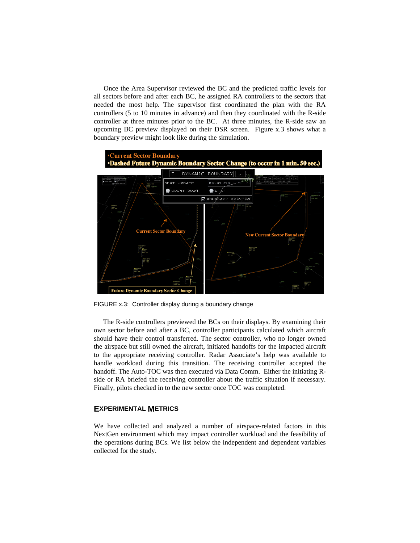Once the Area Supervisor reviewed the BC and the predicted traffic levels for all sectors before and after each BC, he assigned RA controllers to the sectors that needed the most help. The supervisor first coordinated the plan with the RA controllers (5 to 10 minutes in advance) and then they coordinated with the R-side controller at three minutes prior to the BC. At three minutes, the R-side saw an upcoming BC preview displayed on their DSR screen. Figure x.3 shows what a boundary preview might look like during the simulation.



FIGURE x.3: Controller display during a boundary change

The R-side controllers previewed the BCs on their displays. By examining their own sector before and after a BC, controller participants calculated which aircraft should have their control transferred. The sector controller, who no longer owned the airspace but still owned the aircraft, initiated handoffs for the impacted aircraft to the appropriate receiving controller. Radar Associate's help was available to handle workload during this transition. The receiving controller accepted the handoff. The Auto-TOC was then executed via Data Comm. Either the initiating Rside or RA briefed the receiving controller about the traffic situation if necessary. Finally, pilots checked in to the new sector once TOC was completed.

#### **EXPERIMENTAL METRICS**

We have collected and analyzed a number of airspace-related factors in this NextGen environment which may impact controller workload and the feasibility of the operations during BCs. We list below the independent and dependent variables collected for the study.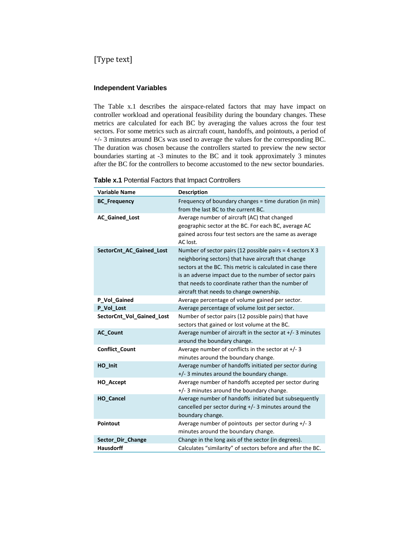#### **Independent Variables**

The Table x.1 describes the airspace-related factors that may have impact on controller workload and operational feasibility during the boundary changes. These metrics are calculated for each BC by averaging the values across the four test sectors. For some metrics such as aircraft count, handoffs, and pointouts, a period of +/- 3 minutes around BCs was used to average the values for the corresponding BC. The duration was chosen because the controllers started to preview the new sector boundaries starting at -3 minutes to the BC and it took approximately 3 minutes after the BC for the controllers to become accustomed to the new sector boundaries.

| <b>Variable Name</b>      | <b>Description</b>                                                                                                                                                                                                                                                                                                                         |
|---------------------------|--------------------------------------------------------------------------------------------------------------------------------------------------------------------------------------------------------------------------------------------------------------------------------------------------------------------------------------------|
| <b>BC_Frequency</b>       | Frequency of boundary changes = time duration (in min)<br>from the last BC to the current BC.                                                                                                                                                                                                                                              |
| <b>AC Gained Lost</b>     | Average number of aircraft (AC) that changed<br>geographic sector at the BC. For each BC, average AC<br>gained across four test sectors are the same as average<br>AC lost.                                                                                                                                                                |
| SectorCnt AC Gained Lost  | Number of sector pairs (12 possible pairs = 4 sectors X 3<br>neighboring sectors) that have aircraft that change<br>sectors at the BC. This metric is calculated in case there<br>is an adverse impact due to the number of sector pairs<br>that needs to coordinate rather than the number of<br>aircraft that needs to change ownership. |
| P Vol Gained              | Average percentage of volume gained per sector.                                                                                                                                                                                                                                                                                            |
| P_Vol_Lost                | Average percentage of volume lost per sector.                                                                                                                                                                                                                                                                                              |
| SectorCnt_Vol_Gained_Lost | Number of sector pairs (12 possible pairs) that have<br>sectors that gained or lost volume at the BC.                                                                                                                                                                                                                                      |
| <b>AC Count</b>           | Average number of aircraft in the sector at $+/-$ 3 minutes<br>around the boundary change.                                                                                                                                                                                                                                                 |
| <b>Conflict Count</b>     | Average number of conflicts in the sector at +/-3<br>minutes around the boundary change.                                                                                                                                                                                                                                                   |
| HO_Init                   | Average number of handoffs initiated per sector during<br>+/- 3 minutes around the boundary change.                                                                                                                                                                                                                                        |
| <b>HO</b> Accept          | Average number of handoffs accepted per sector during<br>+/- 3 minutes around the boundary change.                                                                                                                                                                                                                                         |
| HO_Cancel                 | Average number of handoffs initiated but subsequently<br>cancelled per sector during $+/-$ 3 minutes around the<br>boundary change.                                                                                                                                                                                                        |
| Pointout                  | Average number of pointouts per sector during +/-3<br>minutes around the boundary change.                                                                                                                                                                                                                                                  |
| Sector_Dir_Change         | Change in the long axis of the sector (in degrees).                                                                                                                                                                                                                                                                                        |
| <b>Hausdorff</b>          | Calculates "similarity" of sectors before and after the BC.                                                                                                                                                                                                                                                                                |

| Table x.1 Potential Factors that Impact Controllers |  |
|-----------------------------------------------------|--|
|-----------------------------------------------------|--|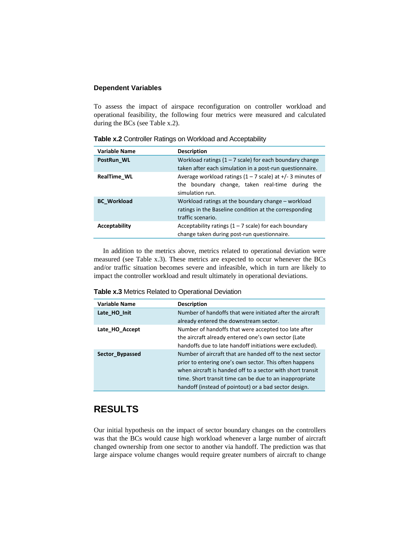#### **Dependent Variables**

To assess the impact of airspace reconfiguration on controller workload and operational feasibility, the following four metrics were measured and calculated during the BCs (see Table x.2).

| <b>Variable Name</b> | <b>Description</b>                                                                                                                   |
|----------------------|--------------------------------------------------------------------------------------------------------------------------------------|
| PostRun WL           | Workload ratings $(1 – 7 scale)$ for each boundary change<br>taken after each simulation in a post-run questionnaire.                |
| RealTime WL          | Average workload ratings $(1 - 7$ scale) at $+/- 3$ minutes of<br>the boundary change, taken real-time during the<br>simulation run. |
| <b>BC</b> Workload   | Workload ratings at the boundary change – workload<br>ratings in the Baseline condition at the corresponding<br>traffic scenario.    |
| Acceptability        | Acceptability ratings $(1 – 7 scale)$ for each boundary<br>change taken during post-run questionnaire.                               |

**Table x.2** Controller Ratings on Workload and Acceptability

In addition to the metrics above, metrics related to operational deviation were measured (see Table x.3). These metrics are expected to occur whenever the BCs and/or traffic situation becomes severe and infeasible, which in turn are likely to impact the controller workload and result ultimately in operational deviations.

| <b>Table x.3 Metrics Related to Operational Deviation</b> |  |
|-----------------------------------------------------------|--|
|-----------------------------------------------------------|--|

| Variable Name   | <b>Description</b>                                         |
|-----------------|------------------------------------------------------------|
| Late HO Init    | Number of handoffs that were initiated after the aircraft  |
|                 | already entered the downstream sector.                     |
| Late HO Accept  | Number of handoffs that were accepted too late after       |
|                 | the aircraft already entered one's own sector (Late        |
|                 | handoffs due to late handoff initiations were excluded).   |
| Sector Bypassed | Number of aircraft that are handed off to the next sector  |
|                 | prior to entering one's own sector. This often happens     |
|                 | when aircraft is handed off to a sector with short transit |
|                 | time. Short transit time can be due to an inappropriate    |
|                 | handoff (instead of pointout) or a bad sector design.      |

# **RESULTS**

Our initial hypothesis on the impact of sector boundary changes on the controllers was that the BCs would cause high workload whenever a large number of aircraft changed ownership from one sector to another via handoff. The prediction was that large airspace volume changes would require greater numbers of aircraft to change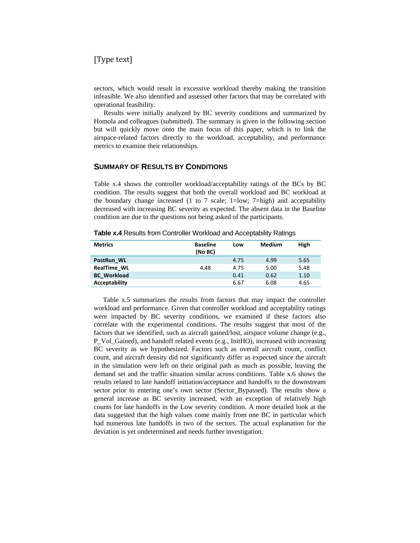sectors, which would result in excessive workload thereby making the transition infeasible. We also identified and assessed other factors that may be correlated with operational feasibility.

Results were initially analyzed by BC severity conditions and summarized by Homola and colleagues (submitted). The summary is given in the following section but will quickly move onto the main focus of this paper, which is to link the airspace-related factors directly to the workload, acceptability, and performance metrics to examine their relationships.

#### **SUMMARY OF RESULTS BY CONDITIONS**

Table x.4 shows the controller workload/acceptability ratings of the BCs by BC condition. The results suggest that both the overall workload and BC workload at the boundary change increased (1 to 7 scale;  $1 = low$ ;  $7 = high$ ) and acceptability decreased with increasing BC severity as expected. The absent data in the Baseline condition are due to the questions not being asked of the participants.

**Table x.4** Results from Controller Workload and Acceptability Ratings

| <b>Metrics</b>       | <b>Baseline</b><br>(No BC) | Low  | <b>Medium</b> | High |
|----------------------|----------------------------|------|---------------|------|
| PostRun WL           |                            | 4.75 | 4.99          | 5.65 |
| <b>RealTime WL</b>   | 4.48                       | 4.75 | 5.00          | 5.48 |
| <b>BC</b> Workload   |                            | 0.41 | 0.62          | 1.10 |
| <b>Acceptability</b> |                            | 6.67 | 6.08          | 4.65 |

Table x.5 summarizes the results from factors that may impact the controller workload and performance. Given that controller workload and acceptability ratings were impacted by BC severity conditions, we examined if these factors also correlate with the experimental conditions. The results suggest that most of the factors that we identified, such as aircraft gained/lost, airspace volume change (e.g., P\_Vol\_Gained), and handoff related events (e.g., InitHO), increased with increasing BC severity as we hypothesized. Factors such as overall aircraft count, conflict count, and aircraft density did not significantly differ as expected since the aircraft in the simulation were left on their original path as much as possible, leaving the demand set and the traffic situation similar across conditions. Table x.6 shows the results related to late handoff initiation/acceptance and handoffs to the downstream sector prior to entering one's own sector (Sector\_Bypassed). The results show a general increase as BC severity increased, with an exception of relatively high counts for late handoffs in the Low severity condition. A more detailed look at the data suggested that the high values come mainly from one BC in particular which had numerous late handoffs in two of the sectors. The actual explanation for the deviation is yet undetermined and needs further investigation.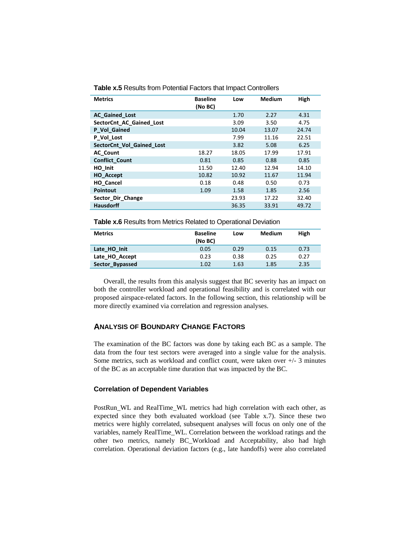| <b>Table x.5</b> Results from Potential Factors that Impact Controllers |  |  |
|-------------------------------------------------------------------------|--|--|
|-------------------------------------------------------------------------|--|--|

| <b>Metrics</b>            | <b>Baseline</b><br>(No BC) | Low   | <b>Medium</b> | High  |
|---------------------------|----------------------------|-------|---------------|-------|
| <b>AC Gained Lost</b>     |                            | 1.70  | 2.27          | 4.31  |
| SectorCnt AC Gained Lost  |                            | 3.09  | 3.50          | 4.75  |
| P Vol Gained              |                            | 10.04 | 13.07         | 24.74 |
| P Vol Lost                |                            | 7.99  | 11.16         | 22.51 |
| SectorCnt_Vol_Gained_Lost |                            | 3.82  | 5.08          | 6.25  |
| <b>AC Count</b>           | 18.27                      | 18.05 | 17.99         | 17.91 |
| <b>Conflict Count</b>     | 0.81                       | 0.85  | 0.88          | 0.85  |
| HO Init                   | 11.50                      | 12.40 | 12.94         | 14.10 |
| <b>HO</b> Accept          | 10.82                      | 10.92 | 11.67         | 11.94 |
| HO Cancel                 | 0.18                       | 0.48  | 0.50          | 0.73  |
| Pointout                  | 1.09                       | 1.58  | 1.85          | 2.56  |
| Sector Dir Change         |                            | 23.93 | 17.22         | 32.40 |
| <b>Hausdorff</b>          |                            | 36.35 | 33.91         | 49.72 |

**Table x.6** Results from Metrics Related to Operational Deviation

| <b>Metrics</b>  | <b>Baseline</b><br>(No BC) | Low  | <b>Medium</b> | High |
|-----------------|----------------------------|------|---------------|------|
| Late HO Init    | 0.05                       | 0.29 | 0.15          | 0.73 |
| Late HO Accept  | 0.23                       | 0.38 | 0.25          | 0.27 |
| Sector Bypassed | 1.02                       | 1.63 | 1.85          | 2.35 |

Overall, the results from this analysis suggest that BC severity has an impact on both the controller workload and operational feasibility and is correlated with our proposed airspace-related factors. In the following section, this relationship will be more directly examined via correlation and regression analyses.

#### **ANALYSIS OF BOUNDARY CHANGE FACTORS**

The examination of the BC factors was done by taking each BC as a sample. The data from the four test sectors were averaged into a single value for the analysis. Some metrics, such as workload and conflict count, were taken over +/- 3 minutes of the BC as an acceptable time duration that was impacted by the BC.

#### **Correlation of Dependent Variables**

PostRun\_WL and RealTime\_WL metrics had high correlation with each other, as expected since they both evaluated workload (see Table x.7). Since these two metrics were highly correlated, subsequent analyses will focus on only one of the variables, namely RealTime\_WL. Correlation between the workload ratings and the other two metrics, namely BC\_Workload and Acceptability, also had high correlation. Operational deviation factors (e.g., late handoffs) were also correlated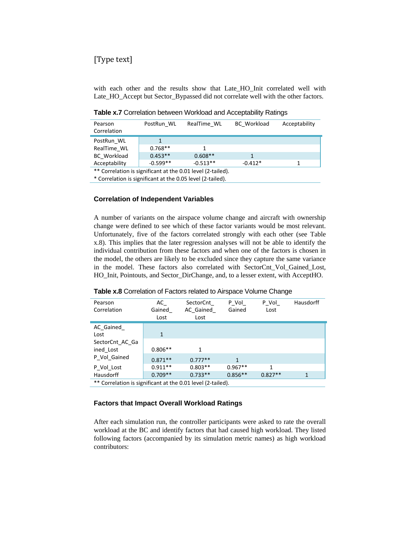with each other and the results show that Late HO Init correlated well with Late\_HO\_Accept but Sector\_Bypassed did not correlate well with the other factors.

| Pearson                                                     | PostRun WL | RealTime WL | <b>BC</b> Workload | Acceptability |  |
|-------------------------------------------------------------|------------|-------------|--------------------|---------------|--|
| Correlation                                                 |            |             |                    |               |  |
| PostRun WL                                                  | 1          |             |                    |               |  |
| RealTime WL                                                 | $0.768**$  |             |                    |               |  |
| <b>BC</b> Workload                                          | $0.453**$  | $0.608**$   | 1                  |               |  |
| Acceptability                                               | $-0.599**$ | $-0.513**$  | $-0.412*$          |               |  |
| ** Correlation is significant at the 0.01 level (2-tailed). |            |             |                    |               |  |
| * Correlation is significant at the 0.05 level (2-tailed).  |            |             |                    |               |  |

**Table x.7** Correlation between Workload and Acceptability Ratings

#### **Correlation of Independent Variables**

A number of variants on the airspace volume change and aircraft with ownership change were defined to see which of these factor variants would be most relevant. Unfortunately, five of the factors correlated strongly with each other (see Table x.8). This implies that the later regression analyses will not be able to identify the individual contribution from these factors and when one of the factors is chosen in the model, the others are likely to be excluded since they capture the same variance in the model. These factors also correlated with SectorCnt\_Vol\_Gained\_Lost, HO\_Init, Pointouts, and Sector\_DirChange, and, to a lesser extent, with AcceptHO.

| Pearson<br>Correlation                                      | AC<br>Gained<br>Lost | SectorCnt<br>AC Gained<br>Lost | P Vol<br>Gained | P Vol<br>Lost | <b>Hausdorff</b> |
|-------------------------------------------------------------|----------------------|--------------------------------|-----------------|---------------|------------------|
| AC Gained<br>Lost                                           | 1                    |                                |                 |               |                  |
| SectorCnt AC Ga<br>ined Lost                                | $0.806**$            | 1                              |                 |               |                  |
| P Vol Gained                                                | $0.871**$            | $0.777**$                      | 1               |               |                  |
| P Vol Lost                                                  | $0.911**$            | $0.803**$                      | $0.967**$       | 1             |                  |
| Hausdorff                                                   | $0.709**$            | $0.733**$                      | $0.856**$       | $0.827**$     | 1                |
| ** Correlation is significant at the 0.01 level (2-tailed). |                      |                                |                 |               |                  |

**Table x.8** Correlation of Factors related to Airspace Volume Change

### **Factors that Impact Overall Workload Ratings**

After each simulation run, the controller participants were asked to rate the overall workload at the BC and identify factors that had caused high workload. They listed following factors (accompanied by its simulation metric names) as high workload contributors: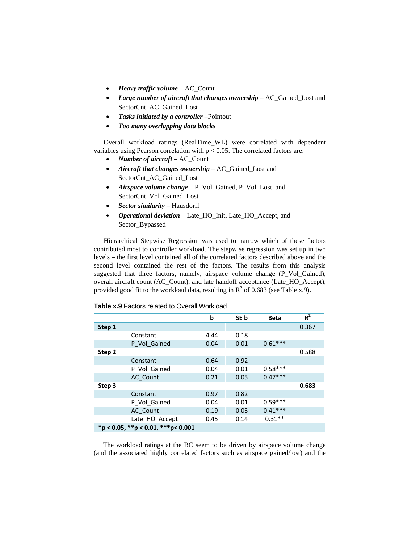- *Heavy traffic volume* AC\_Count
- *Large number of aircraft that changes ownership* AC\_Gained\_Lost and SectorCnt\_AC\_Gained\_Lost
- *Tasks initiated by a controller* –Pointout
- *Too many overlapping data blocks*

Overall workload ratings (RealTime\_WL) were correlated with dependent variables using Pearson correlation with  $p < 0.05$ . The correlated factors are:

- *Number of aircraft* AC Count
- *Aircraft that changes ownership* AC\_Gained\_Lost and SectorCnt\_AC\_Gained\_Lost
- *Airspace volume change* P\_Vol\_Gained, P\_Vol\_Lost, and SectorCnt\_Vol\_Gained\_Lost
- *Sector similarity* Hausdorff
- *Operational deviation* Late\_HO\_Init, Late\_HO\_Accept, and Sector\_Bypassed

Hierarchical Stepwise Regression was used to narrow which of these factors contributed most to controller workload. The stepwise regression was set up in two levels – the first level contained all of the correlated factors described above and the second level contained the rest of the factors. The results from this analysis suggested that three factors, namely, airspace volume change (P\_Vol\_Gained), overall aircraft count (AC\_Count), and late handoff acceptance (Late\_HO\_Accept), provided good fit to the workload data, resulting in  $\mathbb{R}^2$  of 0.683 (see Table x.9).

|        |                                    | b    | SE b | <b>Beta</b> | $R^2$ |
|--------|------------------------------------|------|------|-------------|-------|
| Step 1 |                                    |      |      |             | 0.367 |
|        | Constant                           | 4.44 | 0.18 |             |       |
|        | P Vol Gained                       | 0.04 | 0.01 | $0.61***$   |       |
| Step 2 |                                    |      |      |             | 0.588 |
|        | Constant                           | 0.64 | 0.92 |             |       |
|        | P_Vol_Gained                       | 0.04 | 0.01 | $0.58***$   |       |
|        | AC Count                           | 0.21 | 0.05 | $0.47***$   |       |
| Step 3 |                                    |      |      |             | 0.683 |
|        | Constant                           | 0.97 | 0.82 |             |       |
|        | P_Vol_Gained                       | 0.04 | 0.01 | $0.59***$   |       |
|        | AC Count                           | 0.19 | 0.05 | $0.41***$   |       |
|        | Late_HO_Accept                     | 0.45 | 0.14 | $0.31**$    |       |
|        | *p < 0.05, **p < 0.01, ***p< 0.001 |      |      |             |       |

#### **Table x.9** Factors related to Overall Workload

The workload ratings at the BC seem to be driven by airspace volume change (and the associated highly correlated factors such as airspace gained/lost) and the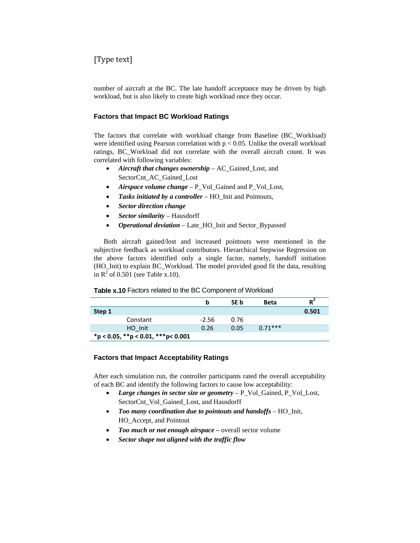number of aircraft at the BC. The late handoff acceptance may be driven by high workload, but is also likely to create high workload once they occur.

#### **Factors that Impact BC Workload Ratings**

The factors that correlate with workload change from Baseline (BC\_Workload) were identified using Pearson correlation with  $p < 0.05$ . Unlike the overall workload ratings, BC\_Workload did not correlate with the overall aircraft count. It was correlated with following variables:

- *Aircraft that changes ownership* AC\_Gained\_Lost, and SectorCnt\_AC\_Gained\_Lost
- *Airspace volume change* P\_Vol\_Gained and P\_Vol\_Lost,
- *Tasks initiated by a controller* HO\_Init and Pointouts,
- *Sector direction change*
- *Sector similarity* Hausdorff
- *Operational deviation* Late\_HO\_Init and Sector\_Bypassed

Both aircraft gained/lost and increased pointouts were mentioned in the subjective feedback as workload contributors. Hierarchical Stepwise Regression on the above factors identified only a single factor, namely, handoff initiation (HO\_Init) to explain BC\_Workload. The model provided good fit the data, resulting in  $\mathbb{R}^2$  of 0.501 (see Table x.10).

#### **Table x.10** Factors related to the BC Component of Workload

|                                    |         | SE b | <b>Beta</b> | $R^2$ |
|------------------------------------|---------|------|-------------|-------|
| Step 1                             |         |      |             | 0.501 |
| Constant                           | $-2.56$ | 0.76 |             |       |
| HO Init                            | 0.26    | 0.05 | $0.71***$   |       |
| *p < 0.05, **p < 0.01, ***p< 0.001 |         |      |             |       |

#### **Factors that Impact Acceptability Ratings**

After each simulation run, the controller participants rated the overall acceptability of each BC and identify the following factors to cause low acceptability:

- *Large changes in sector size or geometry* P\_Vol\_Gained, P\_Vol\_Lost, SectorCnt\_Vol\_Gained\_Lost, and Hausdorff
- *Too many coordination due to pointouts and handoffs* HO\_Init, HO\_Accept, and Pointout
- *Too much or not enough airspace* **–** overall sector volume
- *Sector shape not aligned with the traffic flow*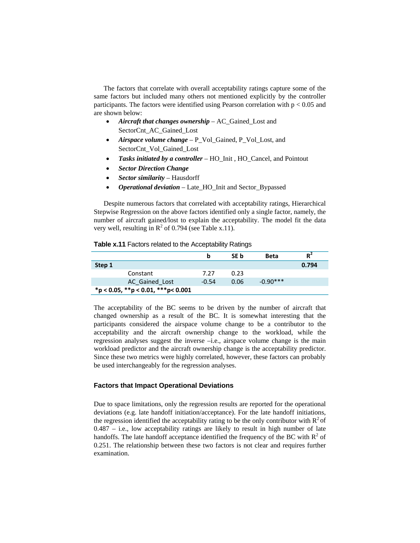The factors that correlate with overall acceptability ratings capture some of the same factors but included many others not mentioned explicitly by the controller participants. The factors were identified using Pearson correlation with  $p < 0.05$  and are shown below:

- *Aircraft that changes ownership* AC\_Gained\_Lost and SectorCnt\_AC\_Gained\_Lost
- *Airspace volume change* P\_Vol\_Gained, P\_Vol\_Lost, and SectorCnt\_Vol\_Gained\_Lost
- *Tasks initiated by a controller* HO\_Init , HO\_Cancel, and Pointout
- *Sector Direction Change*
- *Sector similarity* Hausdorff
- *Operational deviation* Late\_HO\_Init and Sector\_Bypassed

Despite numerous factors that correlated with acceptability ratings, Hierarchical Stepwise Regression on the above factors identified only a single factor, namely, the number of aircraft gained/lost to explain the acceptability. The model fit the data very well, resulting in  $\mathbb{R}^2$  of 0.794 (see Table x.11).

|                                    |         | SE b | <b>Beta</b> | Dʻ    |  |
|------------------------------------|---------|------|-------------|-------|--|
| Step 1                             |         |      |             | 0.794 |  |
| Constant                           | 7.27    | 0.23 |             |       |  |
| AC Gained Lost                     | $-0.54$ | 0.06 | $-0.90***$  |       |  |
| *p < 0.05, **p < 0.01, ***p< 0.001 |         |      |             |       |  |

**Table x.11** Factors related to the Acceptability Ratings

The acceptability of the BC seems to be driven by the number of aircraft that changed ownership as a result of the BC. It is somewhat interesting that the participants considered the airspace volume change to be a contributor to the acceptability and the aircraft ownership change to the workload, while the regression analyses suggest the inverse –i.e., airspace volume change is the main workload predictor and the aircraft ownership change is the acceptability predictor. Since these two metrics were highly correlated, however, these factors can probably be used interchangeably for the regression analyses.

#### **Factors that Impact Operational Deviations**

Due to space limitations, only the regression results are reported for the operational deviations (e.g. late handoff initiation/acceptance). For the late handoff initiations, the regression identified the acceptability rating to be the only contributor with  $R^2$  of  $0.487 - i.e.,$  low acceptability ratings are likely to result in high number of late handoffs. The late handoff acceptance identified the frequency of the BC with  $R^2$  of 0.251. The relationship between these two factors is not clear and requires further examination.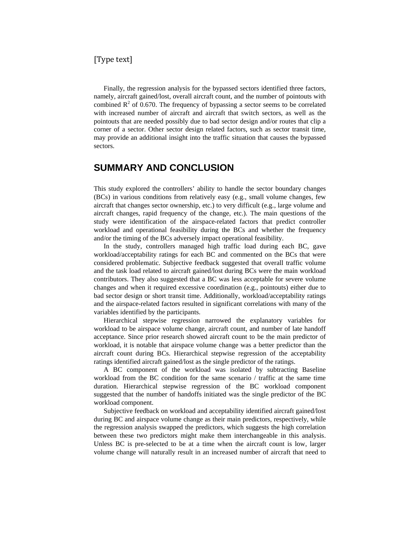Finally, the regression analysis for the bypassed sectors identified three factors, namely, aircraft gained/lost, overall aircraft count, and the number of pointouts with combined  $\mathbb{R}^2$  of 0.670. The frequency of bypassing a sector seems to be correlated with increased number of aircraft and aircraft that switch sectors, as well as the pointouts that are needed possibly due to bad sector design and/or routes that clip a corner of a sector. Other sector design related factors, such as sector transit time, may provide an additional insight into the traffic situation that causes the bypassed sectors.

# **SUMMARY AND CONCLUSION**

This study explored the controllers' ability to handle the sector boundary changes (BCs) in various conditions from relatively easy (e.g., small volume changes, few aircraft that changes sector ownership, etc.) to very difficult (e.g., large volume and aircraft changes, rapid frequency of the change, etc.). The main questions of the study were identification of the airspace-related factors that predict controller workload and operational feasibility during the BCs and whether the frequency and/or the timing of the BCs adversely impact operational feasibility.

In the study, controllers managed high traffic load during each BC, gave workload/acceptability ratings for each BC and commented on the BCs that were considered problematic. Subjective feedback suggested that overall traffic volume and the task load related to aircraft gained/lost during BCs were the main workload contributors. They also suggested that a BC was less acceptable for severe volume changes and when it required excessive coordination (e.g., pointouts) either due to bad sector design or short transit time. Additionally, workload/acceptability ratings and the airspace-related factors resulted in significant correlations with many of the variables identified by the participants.

Hierarchical stepwise regression narrowed the explanatory variables for workload to be airspace volume change, aircraft count, and number of late handoff acceptance. Since prior research showed aircraft count to be the main predictor of workload, it is notable that airspace volume change was a better predictor than the aircraft count during BCs. Hierarchical stepwise regression of the acceptability ratings identified aircraft gained/lost as the single predictor of the ratings.

A BC component of the workload was isolated by subtracting Baseline workload from the BC condition for the same scenario / traffic at the same time duration. Hierarchical stepwise regression of the BC workload component suggested that the number of handoffs initiated was the single predictor of the BC workload component.

Subjective feedback on workload and acceptability identified aircraft gained/lost during BC and airspace volume change as their main predictors, respectively, while the regression analysis swapped the predictors, which suggests the high correlation between these two predictors might make them interchangeable in this analysis. Unless BC is pre-selected to be at a time when the aircraft count is low, larger volume change will naturally result in an increased number of aircraft that need to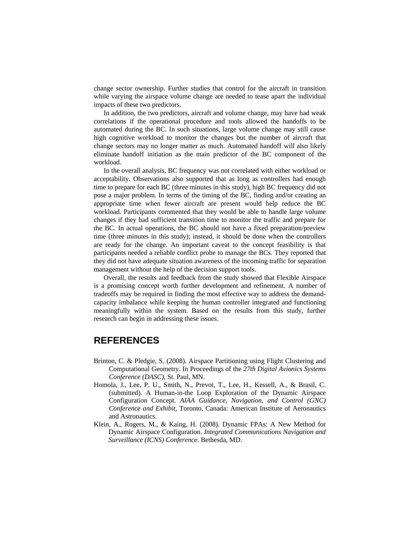change sector ownership. Further studies that control for the aircraft in transition while varying the airspace volume change are needed to tease apart the individual impacts of these two predictors.

In addition, the two predictors, aircraft and volume change, may have had weak correlations if the operational procedure and tools allowed the handoffs to be automated during the BC. In such situations, large volume change may still cause high cognitive workload to monitor the changes but the number of aircraft that change sectors may no longer matter as much. Automated handoff will also likely eliminate handoff initiation as the main predictor of the BC component of the workload.

In the overall analysis, BC frequency was not correlated with either workload or acceptability. Observations also supported that as long as controllers had enough time to prepare for each BC (three minutes in this study), high BC frequency did not pose a major problem. In terms of the timing of the BC, finding and/or creating an appropriate time when fewer aircraft are present would help reduce the BC workload. Participants commented that they would be able to handle large volume changes if they had sufficient transition time to monitor the traffic and prepare for the BC. In actual operations, the BC should not have a fixed preparation/preview time (three minutes in this study); instead, it should be done when the controllers are ready for the change. An important caveat to the concept feasibility is that participants needed a reliable conflict probe to manage the BCs. They reported that they did not have adequate situation awareness of the incoming traffic for separation management without the help of the decision support tools.

Overall, the results and feedback from the study showed that Flexible Airspace is a promising concept worth further development and refinement. A number of tradeoffs may be required in finding the most effective way to address the demandcapacity imbalance while keeping the human controller integrated and functioning meaningfully within the system. Based on the results from this study, further research can begin in addressing these issues.

# **REFERENCES**

- Brinton, C. & Pledgie, S. (2008). Airspace Partitioning using Flight Clustering and Computational Geometry. In Proceedings of the *27th Digital Avionics Systems Conference (DASC),* St. Paul, MN.
- Homola, J., Lee, P. U., Smith, N., Prevot, T., Lee, H., Kessell, A., & Brasil, C. (submitted). A Human-in-the Loop Exploration of the Dynamic Airspace Configuration Concept. *AIAA Guidance, Navigation, and Control (GNC) Conference and Exhibit,* Toronto, Canada: American Institute of Aeronautics and Astronautics.
- Klein, A., Rogers, M., & Kaing, H. (2008). Dynamic FPAs: A New Method for Dynamic Airspace Configuration. *Integrated Communications Navigation and Surveillance (ICNS) Conference*. Bethesda, MD.